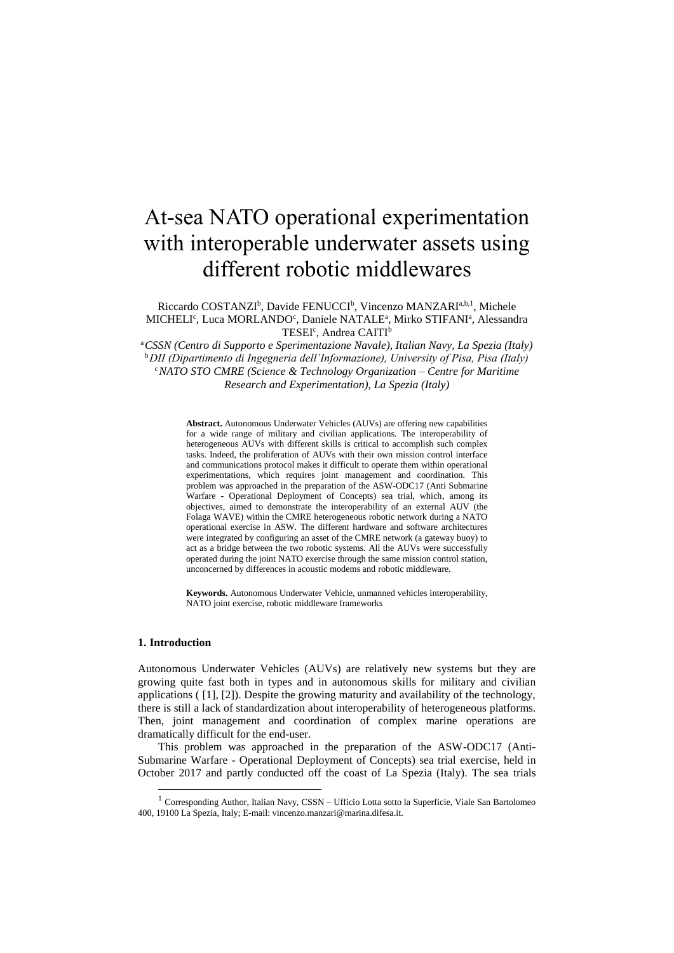# At-sea NATO operational experimentation with interoperable underwater assets using different robotic middlewares

Riccardo COSTANZI<sup>b</sup>, Davide FENUCCI<sup>b</sup>, Vincenzo MANZARI<sup>a,b,1</sup>, Michele MICHELI<sup>c</sup>, Luca MORLANDO<sup>c</sup>, Daniele NATALE<sup>a</sup>, Mirko STIFANI<sup>a</sup>, Alessandra TESEI<sup>c</sup>, Andrea CAITI<sup>b</sup>

<sup>a</sup>*CSSN (Centro di Supporto e Sperimentazione Navale), Italian Navy, La Spezia (Italy)* <sup>b</sup>*DII (Dipartimento di Ingegneria dell'Informazione), University of Pisa, Pisa (Italy)* <sup>c</sup>*NATO STO CMRE (Science & Technology Organization – Centre for Maritime Research and Experimentation), La Spezia (Italy)*

> **Abstract.** Autonomous Underwater Vehicles (AUVs) are offering new capabilities for a wide range of military and civilian applications. The interoperability of heterogeneous AUVs with different skills is critical to accomplish such complex tasks. Indeed, the proliferation of AUVs with their own mission control interface and communications protocol makes it difficult to operate them within operational experimentations, which requires joint management and coordination. This problem was approached in the preparation of the ASW-ODC17 (Anti Submarine Warfare - Operational Deployment of Concepts) sea trial, which, among its objectives, aimed to demonstrate the interoperability of an external AUV (the Folaga WAVE) within the CMRE heterogeneous robotic network during a NATO operational exercise in ASW. The different hardware and software architectures were integrated by configuring an asset of the CMRE network (a gateway buoy) to act as a bridge between the two robotic systems. All the AUVs were successfully operated during the joint NATO exercise through the same mission control station, unconcerned by differences in acoustic modems and robotic middleware.

> **Keywords.** Autonomous Underwater Vehicle, unmanned vehicles interoperability, NATO joint exercise, robotic middleware frameworks

# **1. Introduction**

-

Autonomous Underwater Vehicles (AUVs) are relatively new systems but they are growing quite fast both in types and in autonomous skills for military and civilian applications ( [1], [2]). Despite the growing maturity and availability of the technology, there is still a lack of standardization about interoperability of heterogeneous platforms. Then, joint management and coordination of complex marine operations are dramatically difficult for the end-user.

This problem was approached in the preparation of the ASW-ODC17 (Anti-Submarine Warfare - Operational Deployment of Concepts) sea trial exercise, held in October 2017 and partly conducted off the coast of La Spezia (Italy). The sea trials

<sup>&</sup>lt;sup>1</sup> Corresponding Author, Italian Navy, CSSN – Ufficio Lotta sotto la Superficie, Viale San Bartolomeo 400, 19100 La Spezia, Italy; E-mail: vincenzo.manzari@marina.difesa.it.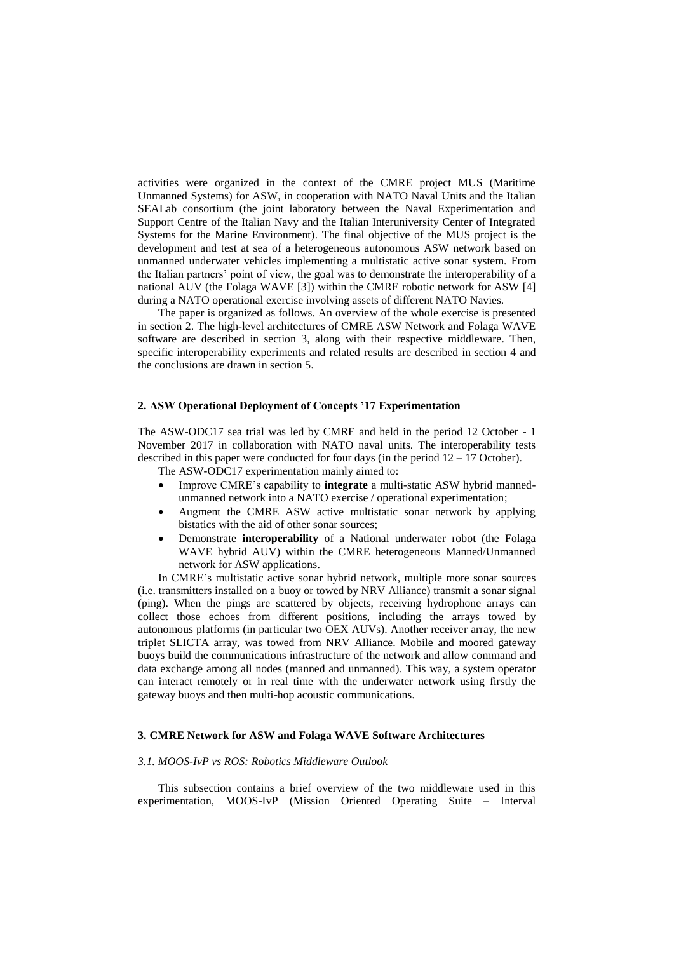activities were organized in the context of the CMRE project MUS (Maritime Unmanned Systems) for ASW, in cooperation with NATO Naval Units and the Italian SEALab consortium (the joint laboratory between the Naval Experimentation and Support Centre of the Italian Navy and the Italian Interuniversity Center of Integrated Systems for the Marine Environment). The final objective of the MUS project is the development and test at sea of a heterogeneous autonomous ASW network based on unmanned underwater vehicles implementing a multistatic active sonar system. From the Italian partners' point of view, the goal was to demonstrate the interoperability of a national AUV (the Folaga WAVE [3]) within the CMRE robotic network for ASW [4] during a NATO operational exercise involving assets of different NATO Navies.

The paper is organized as follows. An overview of the whole exercise is presented in section 2. The high-level architectures of CMRE ASW Network and Folaga WAVE software are described in section 3, along with their respective middleware. Then, specific interoperability experiments and related results are described in section 4 and the conclusions are drawn in section 5.

### **2. ASW Operational Deployment of Concepts '17 Experimentation**

The ASW-ODC17 sea trial was led by CMRE and held in the period 12 October - 1 November 2017 in collaboration with NATO naval units. The interoperability tests described in this paper were conducted for four days (in the period  $12 - 17$  October).

The ASW-ODC17 experimentation mainly aimed to:

- Improve CMRE's capability to **integrate** a multi-static ASW hybrid mannedunmanned network into a NATO exercise / operational experimentation;
- Augment the CMRE ASW active multistatic sonar network by applying bistatics with the aid of other sonar sources;
- Demonstrate **interoperability** of a National underwater robot (the Folaga WAVE hybrid AUV) within the CMRE heterogeneous Manned/Unmanned network for ASW applications.

In CMRE's multistatic active sonar hybrid network, multiple more sonar sources (i.e. transmitters installed on a buoy or towed by NRV Alliance) transmit a sonar signal (ping). When the pings are scattered by objects, receiving hydrophone arrays can collect those echoes from different positions, including the arrays towed by autonomous platforms (in particular two OEX AUVs). Another receiver array, the new triplet SLICTA array, was towed from NRV Alliance. Mobile and moored gateway buoys build the communications infrastructure of the network and allow command and data exchange among all nodes (manned and unmanned). This way, a system operator can interact remotely or in real time with the underwater network using firstly the gateway buoys and then multi-hop acoustic communications.

# **3. CMRE Network for ASW and Folaga WAVE Software Architectures**

# *3.1. MOOS-IvP vs ROS: Robotics Middleware Outlook*

This subsection contains a brief overview of the two middleware used in this experimentation, MOOS-IvP (Mission Oriented Operating Suite – Interval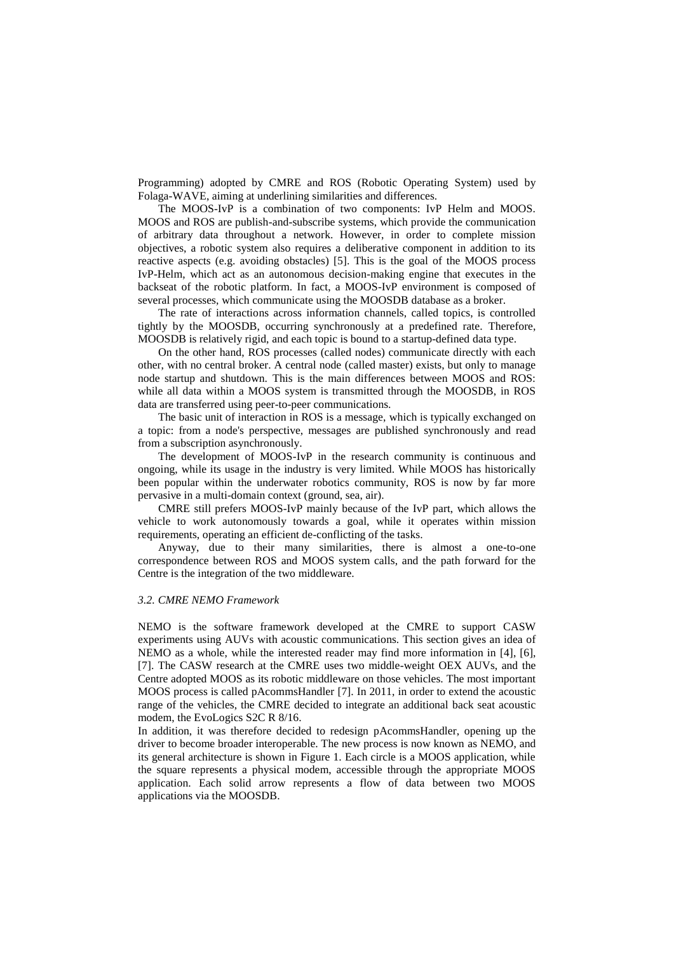Programming) adopted by CMRE and ROS (Robotic Operating System) used by Folaga-WAVE, aiming at underlining similarities and differences.

The MOOS-IvP is a combination of two components: IvP Helm and MOOS. MOOS and ROS are publish-and-subscribe systems, which provide the communication of arbitrary data throughout a network. However, in order to complete mission objectives, a robotic system also requires a deliberative component in addition to its reactive aspects (e.g. avoiding obstacles) [5]. This is the goal of the MOOS process IvP-Helm, which act as an autonomous decision-making engine that executes in the backseat of the robotic platform. In fact, a MOOS-IvP environment is composed of several processes, which communicate using the MOOSDB database as a broker.

The rate of interactions across information channels, called topics, is controlled tightly by the MOOSDB, occurring synchronously at a predefined rate. Therefore, MOOSDB is relatively rigid, and each topic is bound to a startup-defined data type.

On the other hand, ROS processes (called nodes) communicate directly with each other, with no central broker. A central node (called master) exists, but only to manage node startup and shutdown. This is the main differences between MOOS and ROS: while all data within a MOOS system is transmitted through the MOOSDB, in ROS data are transferred using peer-to-peer communications.

The basic unit of interaction in ROS is a message, which is typically exchanged on a topic: from a node's perspective, messages are published synchronously and read from a subscription asynchronously.

The development of MOOS-IvP in the research community is continuous and ongoing, while its usage in the industry is very limited. While MOOS has historically been popular within the underwater robotics community, ROS is now by far more pervasive in a multi-domain context (ground, sea, air).

CMRE still prefers MOOS-IvP mainly because of the IvP part, which allows the vehicle to work autonomously towards a goal, while it operates within mission requirements, operating an efficient de-conflicting of the tasks.

Anyway, due to their many similarities, there is almost a one-to-one correspondence between ROS and MOOS system calls, and the path forward for the Centre is the integration of the two middleware.

## *3.2. CMRE NEMO Framework*

NEMO is the software framework developed at the CMRE to support CASW experiments using AUVs with acoustic communications. This section gives an idea of NEMO as a whole, while the interested reader may find more information in [4], [6], [7]. The CASW research at the CMRE uses two middle-weight OEX AUVs, and the Centre adopted MOOS as its robotic middleware on those vehicles. The most important MOOS process is called pAcommsHandler [7]. In 2011, in order to extend the acoustic range of the vehicles, the CMRE decided to integrate an additional back seat acoustic modem, the EvoLogics S2C R 8/16.

In addition, it was therefore decided to redesign pAcommsHandler, opening up the driver to become broader interoperable. The new process is now known as NEMO, and its general architecture is shown in Figure 1. Each circle is a MOOS application, while the square represents a physical modem, accessible through the appropriate MOOS application. Each solid arrow represents a flow of data between two MOOS applications via the MOOSDB.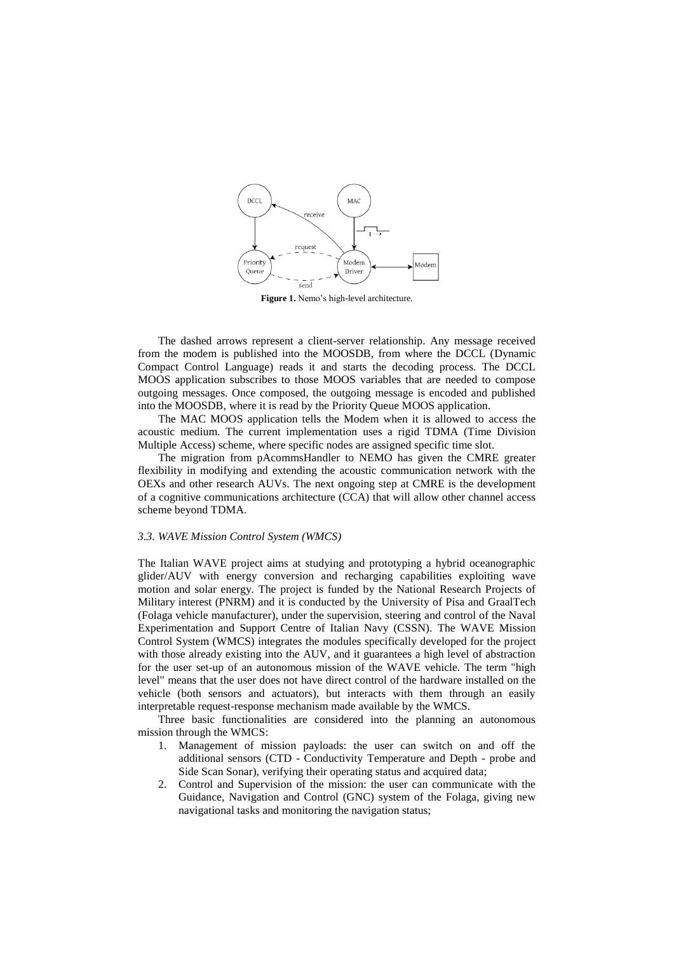

**Figure 1.** Nemo's high-level architecture.

The dashed arrows represent a client-server relationship. Any message received from the modem is published into the MOOSDB, from where the DCCL (Dynamic Compact Control Language) reads it and starts the decoding process. The DCCL MOOS application subscribes to those MOOS variables that are needed to compose outgoing messages. Once composed, the outgoing message is encoded and published into the MOOSDB, where it is read by the Priority Queue MOOS application.

The MAC MOOS application tells the Modem when it is allowed to access the acoustic medium. The current implementation uses a rigid TDMA (Time Division Multiple Access) scheme, where specific nodes are assigned specific time slot.

The migration from pAcommsHandler to NEMO has given the CMRE greater flexibility in modifying and extending the acoustic communication network with the OEXs and other research AUVs. The next ongoing step at CMRE is the development of a cognitive communications architecture (CCA) that will allow other channel access scheme beyond TDMA.

#### *3.3. WAVE Mission Control System (WMCS)*

The Italian WAVE project aims at studying and prototyping a hybrid oceanographic glider/AUV with energy conversion and recharging capabilities exploiting wave motion and solar energy. The project is funded by the National Research Projects of Military interest (PNRM) and it is conducted by the University of Pisa and GraalTech (Folaga vehicle manufacturer), under the supervision, steering and control of the Naval Experimentation and Support Centre of Italian Navy (CSSN). The WAVE Mission Control System (WMCS) integrates the modules specifically developed for the project with those already existing into the AUV, and it guarantees a high level of abstraction for the user set-up of an autonomous mission of the WAVE vehicle. The term "high level" means that the user does not have direct control of the hardware installed on the vehicle (both sensors and actuators), but interacts with them through an easily interpretable request-response mechanism made available by the WMCS.

Three basic functionalities are considered into the planning an autonomous mission through the WMCS:

- 1. Management of mission payloads: the user can switch on and off the additional sensors (CTD - Conductivity Temperature and Depth - probe and Side Scan Sonar), verifying their operating status and acquired data;
- 2. Control and Supervision of the mission: the user can communicate with the Guidance, Navigation and Control (GNC) system of the Folaga, giving new navigational tasks and monitoring the navigation status;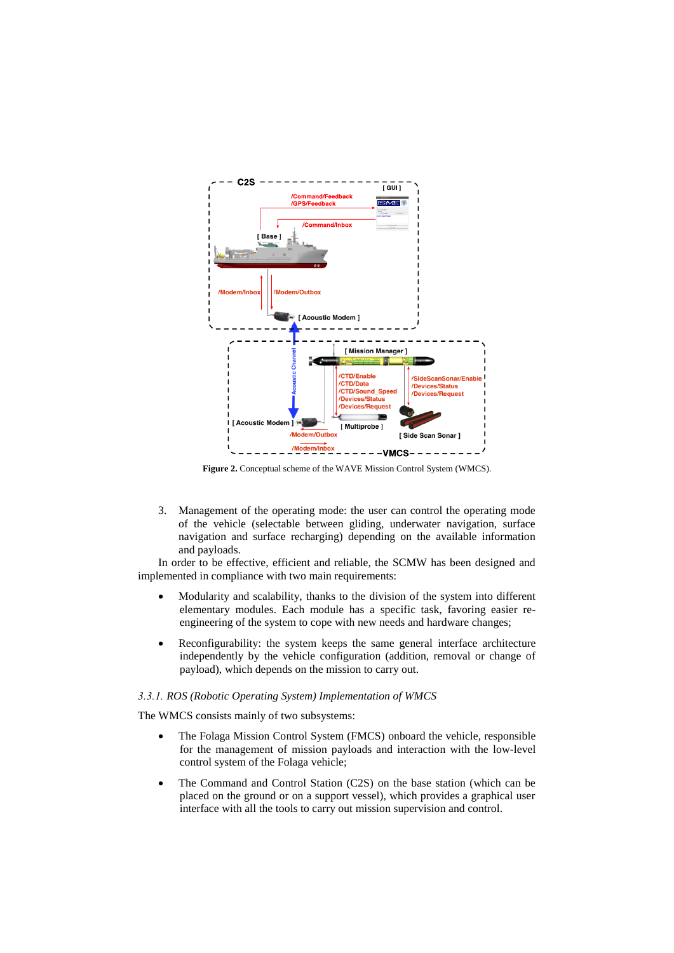

**Figure 2.** Conceptual scheme of the WAVE Mission Control System (WMCS).

3. Management of the operating mode: the user can control the operating mode of the vehicle (selectable between gliding, underwater navigation, surface navigation and surface recharging) depending on the available information and payloads.

In order to be effective, efficient and reliable, the SCMW has been designed and implemented in compliance with two main requirements:

- Modularity and scalability, thanks to the division of the system into different elementary modules. Each module has a specific task, favoring easier reengineering of the system to cope with new needs and hardware changes;
- Reconfigurability: the system keeps the same general interface architecture independently by the vehicle configuration (addition, removal or change of payload), which depends on the mission to carry out.

#### *3.3.1. ROS (Robotic Operating System) Implementation of WMCS*

The WMCS consists mainly of two subsystems:

- The Folaga Mission Control System (FMCS) onboard the vehicle, responsible for the management of mission payloads and interaction with the low-level control system of the Folaga vehicle;
- The Command and Control Station (C2S) on the base station (which can be placed on the ground or on a support vessel), which provides a graphical user interface with all the tools to carry out mission supervision and control.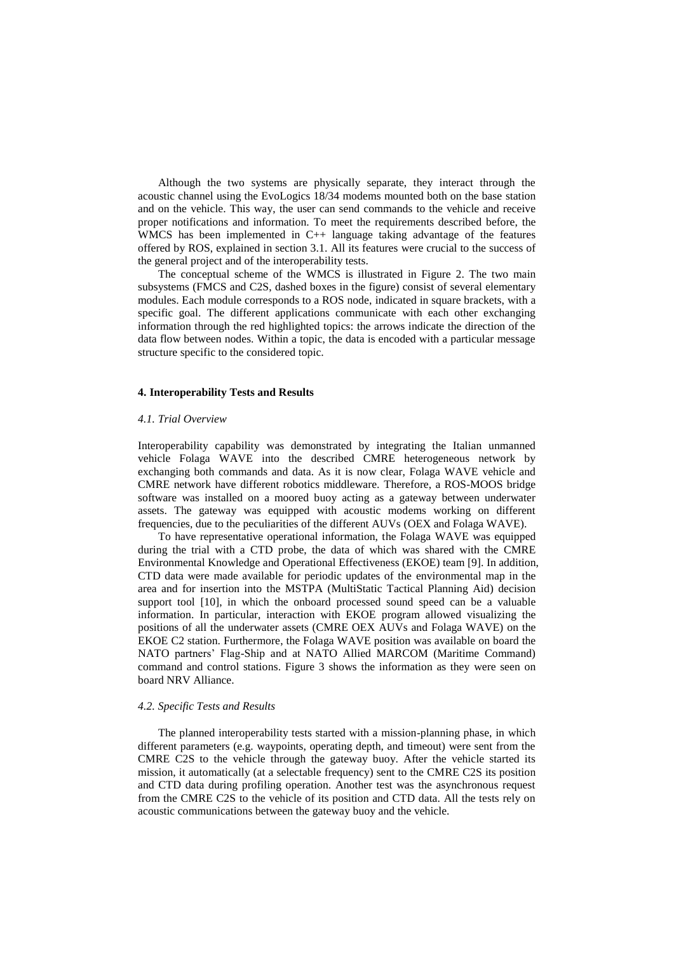Although the two systems are physically separate, they interact through the acoustic channel using the EvoLogics 18/34 modems mounted both on the base station and on the vehicle. This way, the user can send commands to the vehicle and receive proper notifications and information. To meet the requirements described before, the WMCS has been implemented in C++ language taking advantage of the features offered by ROS, explained in section 3.1. All its features were crucial to the success of the general project and of the interoperability tests.

The conceptual scheme of the WMCS is illustrated in Figure 2. The two main subsystems (FMCS and C2S, dashed boxes in the figure) consist of several elementary modules. Each module corresponds to a ROS node, indicated in square brackets, with a specific goal. The different applications communicate with each other exchanging information through the red highlighted topics: the arrows indicate the direction of the data flow between nodes. Within a topic, the data is encoded with a particular message structure specific to the considered topic.

# **4. Interoperability Tests and Results**

## *4.1. Trial Overview*

Interoperability capability was demonstrated by integrating the Italian unmanned vehicle Folaga WAVE into the described CMRE heterogeneous network by exchanging both commands and data. As it is now clear, Folaga WAVE vehicle and CMRE network have different robotics middleware. Therefore, a ROS-MOOS bridge software was installed on a moored buoy acting as a gateway between underwater assets. The gateway was equipped with acoustic modems working on different frequencies, due to the peculiarities of the different AUVs (OEX and Folaga WAVE).

To have representative operational information, the Folaga WAVE was equipped during the trial with a CTD probe, the data of which was shared with the CMRE Environmental Knowledge and Operational Effectiveness (EKOE) team [9]. In addition, CTD data were made available for periodic updates of the environmental map in the area and for insertion into the MSTPA (MultiStatic Tactical Planning Aid) decision support tool [10], in which the onboard processed sound speed can be a valuable information. In particular, interaction with EKOE program allowed visualizing the positions of all the underwater assets (CMRE OEX AUVs and Folaga WAVE) on the EKOE C2 station. Furthermore, the Folaga WAVE position was available on board the NATO partners' Flag-Ship and at NATO Allied MARCOM (Maritime Command) command and control stations. Figure 3 shows the information as they were seen on board NRV Alliance.

#### *4.2. Specific Tests and Results*

The planned interoperability tests started with a mission-planning phase, in which different parameters (e.g. waypoints, operating depth, and timeout) were sent from the CMRE C2S to the vehicle through the gateway buoy. After the vehicle started its mission, it automatically (at a selectable frequency) sent to the CMRE C2S its position and CTD data during profiling operation. Another test was the asynchronous request from the CMRE C2S to the vehicle of its position and CTD data. All the tests rely on acoustic communications between the gateway buoy and the vehicle.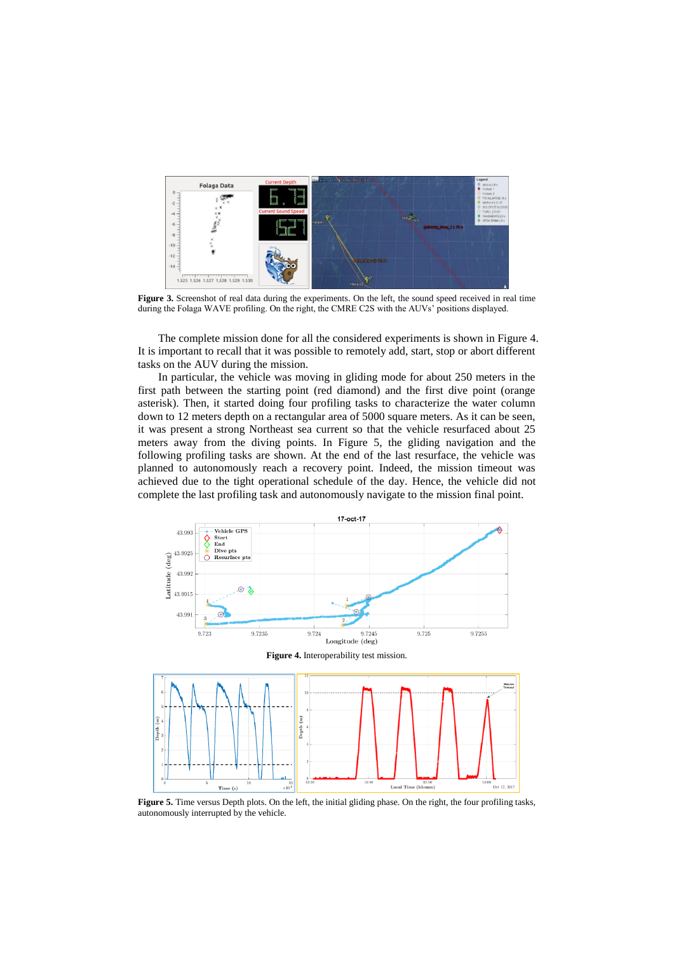

**Figure 3.** Screenshot of real data during the experiments. On the left, the sound speed received in real time during the Folaga WAVE profiling. On the right, the CMRE C2S with the AUVs' positions displayed.

The complete mission done for all the considered experiments is shown in Figure 4. It is important to recall that it was possible to remotely add, start, stop or abort different tasks on the AUV during the mission.

In particular, the vehicle was moving in gliding mode for about 250 meters in the first path between the starting point (red diamond) and the first dive point (orange asterisk). Then, it started doing four profiling tasks to characterize the water column down to 12 meters depth on a rectangular area of 5000 square meters. As it can be seen, it was present a strong Northeast sea current so that the vehicle resurfaced about 25 meters away from the diving points. In Figure 5, the gliding navigation and the following profiling tasks are shown. At the end of the last resurface, the vehicle was planned to autonomously reach a recovery point. Indeed, the mission timeout was achieved due to the tight operational schedule of the day. Hence, the vehicle did not complete the last profiling task and autonomously navigate to the mission final point.



**Figure 5.** Time versus Depth plots. On the left, the initial gliding phase. On the right, the four profiling tasks, autonomously interrupted by the vehicle.